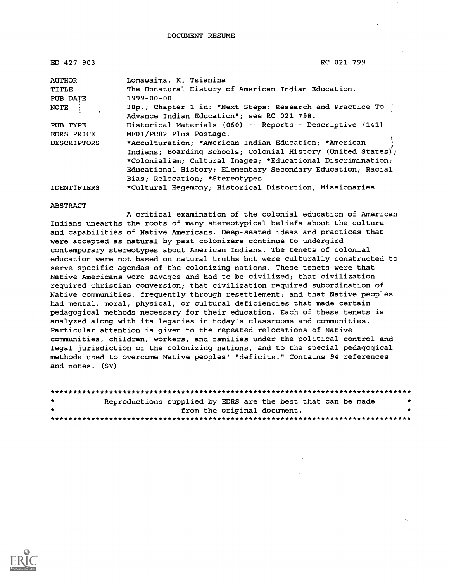| ED 427 903         | RC 021 799                                                   |  |
|--------------------|--------------------------------------------------------------|--|
| <b>AUTHOR</b>      | Lomawaima, K. Tsianina                                       |  |
| TITLE              | The Unnatural History of American Indian Education.          |  |
| PUB DATE           | $1999 - 00 - 00$                                             |  |
| NOTE               | 30p.; Chapter 1 in: "Next Steps: Research and Practice To    |  |
|                    | Advance Indian Education"; see RC 021 798.                   |  |
| PUB TYPE           | Historical Materials (060) -- Reports - Descriptive (141)    |  |
| EDRS PRICE         | MF01/PC02 Plus Postage.                                      |  |
| <b>DESCRIPTORS</b> | *Acculturation; *American Indian Education; *American        |  |
|                    | Indians; Boarding Schools; Colonial History (United States); |  |
|                    | *Colonialism; Cultural Images; *Educational Discrimination;  |  |
|                    | Educational History; Elementary Secondary Education; Racial  |  |
|                    | Bias; Relocation; *Stereotypes                               |  |
| <b>IDENTIFIERS</b> | *Cultural Hegemony; Historical Distortion; Missionaries      |  |

ABSTRACT

A critical examination of the colonial education of American Indians unearths the roots of many stereotypical beliefs about the culture and capabilities of Native Americans. Deep-seated ideas and practices that were accepted as natural by past colonizers continue to undergird contemporary stereotypes about American Indians. The tenets of colonial education were not based on natural truths but were culturally constructed to serve specific agendas of the colonizing nations. These tenets were that Native Americans were savages and had to be civilized; that civilization required Christian conversion; that civilization required subordination of Native communities, frequently through resettlement; and that Native peoples had mental, moral, physical, or cultural deficiencies that made certain pedagogical methods necessary for their education. Each of these tenets is analyzed along with its legacies in today's classrooms and communities. Particular attention is given to the repeated relocations of Native communities, children, workers, and families under the political control and legal jurisdiction of the colonizing nations, and to the special pedagogical methods used to overcome Native peoples' "deficits." Contains 94 references and notes. (SV)

| $\star$ | Reproductions supplied by EDRS are the best that can be made |  |  |  |
|---------|--------------------------------------------------------------|--|--|--|
| $\pm$   | from the original document.                                  |  |  |  |
|         |                                                              |  |  |  |

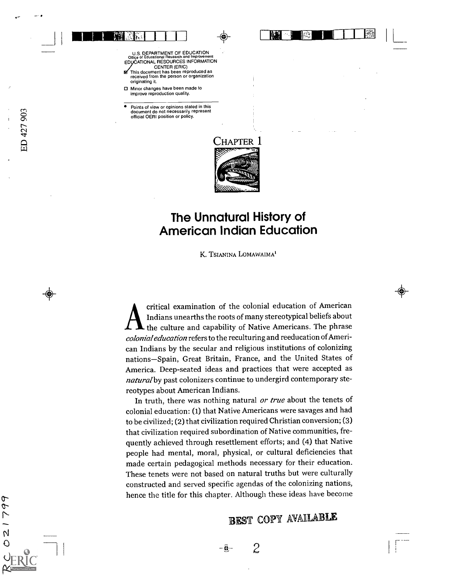U.S. DEPARTMENT OF EDUCATION<br>Office of Educational Research and Improvement Office of Educational Research and Improvement<br>EDUCATIONAL RESOURCES INFORMATION

 $\frac{1}{21}$ 

- CENTER (ERIC) This document has been reproduced as  $\blacksquare$ received from the person or organization originating it.
- □ Minor changes have been made to improve reproduction quality.
- Points of view or opinions stated in this document do not necessarily represent official OEFII position or policy.



niarillirin 1111 - 122 | L

el%

## The Unnatural History of American Indian Education

K. TSIANINA LOMAWAIMA'

critical examination of the colonial education of American Indians unearths the roots of many stereotypical beliefs about the culture and capability of Native Americans. The phrase colonial education refers to the reculturing and reeducation of American Indians by the secular and religious institutions of colonizing nations-Spain, Great Britain, France, and the United States of America. Deep-seated ideas and practices that were accepted as natural by past colonizers continue to undergird contemporary stereotypes about American Indians.

In truth, there was nothing natural or true about the tenets of colonial education: (1) that Native Americans were savages and had to be civilized; (2) that civilization required Christian conversion; (3) that civilization required subordination of Native communities, frequently achieved through resettlement efforts; and (4) that Native people had mental, moral, physical, or cultural deficiencies that made certain pedagogical methods necessary for their education. These tenets were not based on natural truths but were culturally constructed and served specific agendas of the colonizing nations, hence the title for this chapter. Although these ideas have become

## BEST COPY AVAILABLE

 $\mathcal{Z}$ 

ᢗ q  $\overline{1}$  $\overline{\mathsf{N}}$  $\overline{O}$ 

 $\cdot \widehat{\mathbf{e}}$  .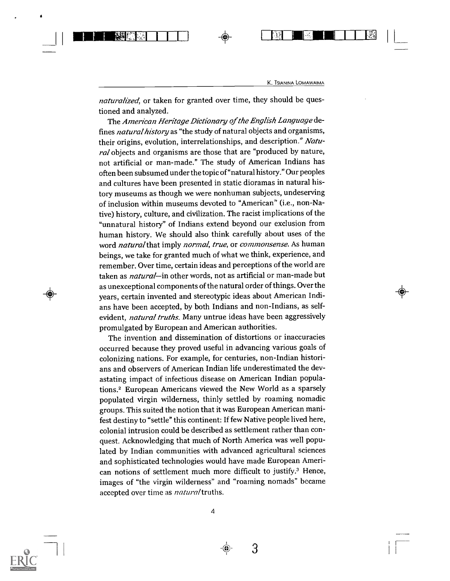$\circledast$ 

<sup>1</sup> ManMENEM <sup>I</sup> it1 11[1111111 <sup>1</sup> F 1 ,1

naturalized, or taken for granted over time, they should be questioned and analyzed.

The American Heritage Dictionary of the English Language defines *natural history* as "the study of natural objects and organisms, their origins, evolution, interrelationships, and description." Natural objects and organisms are those that are "produced by nature, not artificial or man-made." The study of American Indians has often been subsumed under the topic of "natural history." Our peoples and cultures have been presented in static dioramas in natural history museums as though we were nonhuman subjects, undeserving of inclusion within museums devoted to "American" (i.e., non-Native) history, culture, and civilization. The racist implications of the "unnatural history" of Indians extend beyond our exclusion from human history. We should also think carefully about uses of the word natural that imply normal, true, or commonsense. As human beings, we take for granted much of what we think, experience, and remember. Over time, certain ideas and perceptions of the world are taken as *natural*—in other words, not as artificial or man-made but as unexceptional components of the natural order of things. Over the years, certain invented and stereotypic ideas about American Indians have been accepted, by both Indians and non-Indians, as selfevident, natural truths. Many untrue ideas have been aggressively promulgated by European and American authorities.

The invention and dissemination of distortions or inaccuracies occurred because they proved useful in advancing various goals of colonizing nations. For example, for centuries, non-Indian historians and observers of American Indian life underestimated the devastating impact of infectious disease on American Indian populations.2 European Americans viewed the New World as a sparsely populated virgin wilderness, thinly settled by roaming nomadic groups. This suited the notion that it was European American manifest destiny to "settle" this continent: If few Native people lived here, colonial intrusion could be described as settlement rather than conquest. Acknowledging that much of North America was well populated by Indian communities with advanced agricultural sciences and sophisticated technologies would have made European American notions of settlement much more difficult to justify.<sup>3</sup> Hence, images of "the virgin wilderness" and "roaming nomads" became accepted over time as *natural* truths.



 $3 \sim$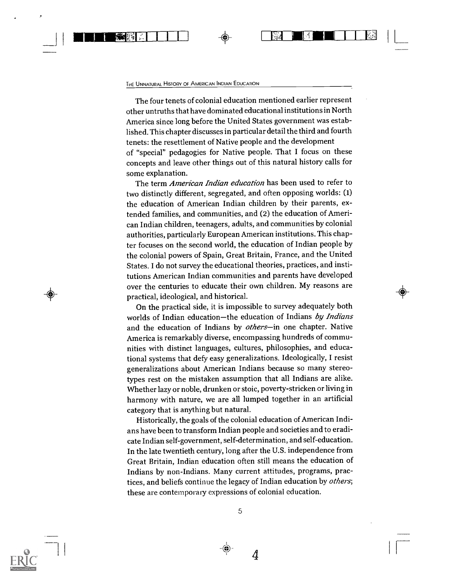#### THE UNNATURAL HISTORY OF AMERICAN INDIAN EDUCATION

一般 医骨

The four tenets of colonial education mentioned earlier represent other untruths that have dominated educational institutions in North America since long before the United States government was established. This chapter discusses in particular detail the third and fourth tenets: the resettlement of Native people and the development of "special" pedagogies for Native people. That I focus on these concepts and leave other things out of this natural history calls for some explanation.

The term American Indian education has been used to refer to two distinctly different, segregated, and often opposing worlds: (1) the education of American Indian children by their parents, extended families, and communities, and (2) the education of American Indian children, teenagers, adults, and communities by colonial authorities, particularly European American institutions. This chapter focuses on the second world, the education of Indian people by the colonial powers of Spain, Great Britain, France, and the United States. I do not survey the educational theories, practices, and institutions American Indian communities and parents have developed over the centuries to educate their own children. My reasons are practical, ideological, and historical.

On the practical side, it is impossible to survey adequately both worlds of Indian education-the education of Indians by Indians and the education of Indians by others-in one chapter. Native America is remarkably diverse, encompassing hundreds of communities with distinct languages, cultures, philosophies, and educational systems that defy easy generalizations. Ideologically, I resist generalizations about American Indians because so many stereotypes rest on the mistaken assumption that all Indians are alike. Whether lazy or noble, drunken or stoic, poverty-stricken or living in harmony with nature, we are all lumped together in an artificial category that is anything but natural.

Historically, the goals of the colonial education of American Indians have been to transform Indian people and societies and to eradicate Indian self-government, self-determination, and self-education. In the late twentieth century, long after the U.S. independence from Great Britain, Indian education often still means the education of Indians by non-Indians. Many current attitudes, programs, practices, and beliefs continue the legacy of Indian education by others; these are contemporary expressions of colonial education.



5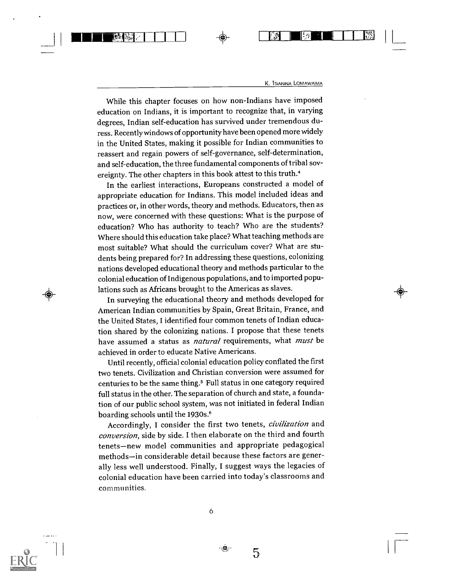While this chapter focuses on how non-Indians have imposed education on Indians, it is important to recognize that, in varying degrees, Indian self-education has survived under tremendous duress. Recently windows of opportunity have been opened more widely in the United States, making it possible for Indian communities to reassert and regain powers of self-governance, self-determination, and self-education, the three fundamental components of tribal sovereignty. The other chapters in this book attest to this truth.4

<sup>I</sup> 111111111Wetti41, <sup>1</sup> <sup>1</sup> <sup>1</sup> <sup>1</sup> <sup>1</sup> FI 1111-..111E <sup>1</sup> 1 1 -

In the earliest interactions, Europeans constructed a model of appropriate education for Indians. This model included ideas and practices or, in other words, theory and methods. Educators, then as now, were concerned with these questions: What is the purpose of education? Who has authority to teach? Who are the students? Where should this education take place? What teaching methods are most suitable? What should the curriculum cover? What are students being prepared for? In addressing these questions, colonizing nations developed educational theory and methods particular to the colonial education of Indigenous populations, and to imported populations such as Africans brought to the Americas as slaves.

In surveying the educational theory and methods developed for American Indian communities by Spain, Great Britain, France, and the United States, I identified four common tenets of Indian education shared by the colonizing nations. I propose that these tenets have assumed a status as *natural* requirements, what *must* be achieved in order to educate Native Americans.

Until recently, official colonial education policy conflated the first two tenets. Civilization and Christian conversion were assumed for centuries to be the same thing.<sup>5</sup> Full status in one category required full status in the other. The separation of church and state, a foundation of our public school system, was not initiated in federal Indian boarding schools until the 1930s.<sup>6</sup>

Accordingly, I consider the first two tenets, civilization and conversion, side by side. I then elaborate on the third and fourth tenets-new model communities and appropriate pedagogical methods-in considerable detail because these factors are generally less well understood. Finally, I suggest ways the legacies of colonial education have been carried into today's classrooms and communities.



-65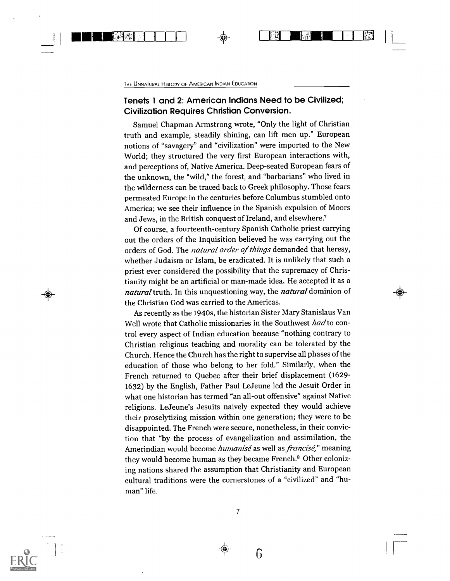H MAD I 1 I Li

#### Tenets 1 and 2: American Indians Need to be Civilized; Civilization Requires Christian Conversion.

Samuel Chapman Armstrong wrote, "Only the light of Christian truth and example, steadily shining, can lift men up." European notions of "savagery" and "civilization" were imported to the New World; they structured the very first European interactions with, and perceptions of, Native America. Deep-seated European fears of the unknown, the "wild," the forest, and "barbarians" who lived in the wilderness can be traced back to Greek philosophy. Those fears permeated Europe in the centuries before Columbus stumbled onto America; we see their influence in the Spanish expulsion of Moors and Jews, in the British conquest of Ireland, and elsewhere.'

Of course, a fourteenth-century Spanish Catholic priest carrying out the orders of the Inquisition believed he was carrying out the orders of God. The natural order of things demanded that heresy, whether Judaism or Islam, be eradicated. It is unlikely that such a priest ever considered the possibility that the supremacy of Christianity might be an artificial or man-made idea. He accepted it as a natural truth. In this unquestioning way, the natural dominion of the Christian God was carried to the Americas.

eN

As recently as the 1940s, the historian Sister Mary Stanislaus Van Well wrote that Catholic missionaries in the Southwest had to control every aspect of Indian education because "nothing contrary to Christian religious teaching and morality can be tolerated by the Church. Hence the Church has the right to supervise all phases of the education of those who belong to her fold." Similarly, when the French returned to Quebec after their brief displacement (1629- 1632) by the English, Father Paul LeJeune led the Jesuit Order in what one historian has termed "an all-out offensive" against Native religions. LeJeune's Jesuits naively expected they would achieve their proselytizing mission within one generation; they were to be disappointed. The French were secure, nonetheless, in their conviction that "by the process of evangelization and assimilation, the Amerindian would become humanisé as well as francisé," meaning they would become human as they became French.<sup>8</sup> Other colonizing nations shared the assumption that Christianity and European cultural traditions were the cornerstones of a "civilized" and "human" life.



6

❀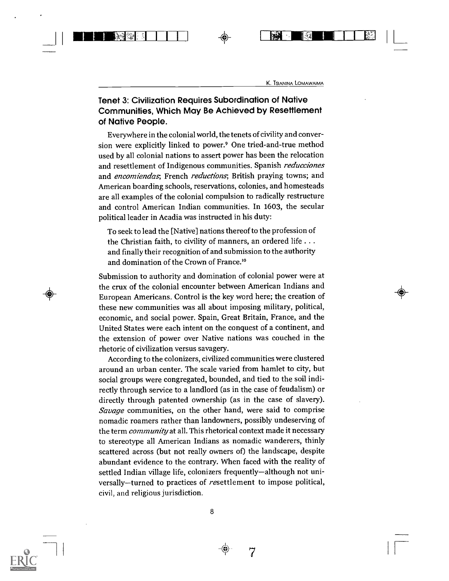$\begin{picture}(100,100) \put(0,0){\line(1,0){100}} \put(10,0){\line(1,0){100}} \put(10,0){\line(0,1){100}} \put(10,0){\line(0,1){100}} \put(10,0){\line(0,1){100}} \put(10,0){\line(0,1){100}} \put(10,0){\line(0,1){100}} \put(10,0){\line(0,1){100}} \put(10,0){\line(0,1){100}} \put(10,0){\line(0,1){100}} \put(10,0){\line(0,1){100$ 

#### Tenet 3: Civilization Requires Subordination of Native Communities, Which May Be Achieved by Resettlement of Native People.

Everywhere in the colonial world, the tenets of civility and conversion were explicitly linked to power.9 One tried-and-true method used by all colonial nations to assert power has been the relocation and resettlement of Indigenous communities. Spanish *reducciones* and *encomiendas*, French *reductions*, British praying towns; and American boarding schools, reservations, colonies, and homesteads are all examples of the colonial compulsion to radically restructure and control American Indian communities. In 1603, the secular political leader in Acadia was instructed in his duty:

To seek to lead the [Native] nations thereof to the profession of the Christian faith, to civility of manners, an ordered life . . . and finally their recognition of and submission to the authority and domination of the Crown of France.<sup>10</sup>

Submission to authority and domination of colonial power were at the crux of the colonial encounter between American Indians and European Americans. Control is the key word here; the creation of these new communities was all about imposing military, political, economic, and social power. Spain, Great Britain, France, and the United States were each intent on the conquest of a continent, and the extension of power over Native nations was couched in the rhetoric of civilization versus savagery.

According to the colonizers, civilized communities were clustered around an urban center. The scale varied from hamlet to city, but social groups were congregated, bounded, and tied to the soil indirectly through service to a landlord (as in the case of feudalism) or directly through patented ownership (as in the case of slavery). Savage communities, on the other hand, were said to comprise nomadic roamers rather than landowners, possibly undeserving of the term *community* at all. This rhetorical context made it necessary to stereotype all American Indians as nomadic wanderers, thinly scattered across (but not really owners of) the landscape, despite abundant evidence to the contrary. When faced with the reality of settled Indian village life, colonizers frequently-although not universally-turned to practices of resettlement to impose political, civil, and religious jurisdiction.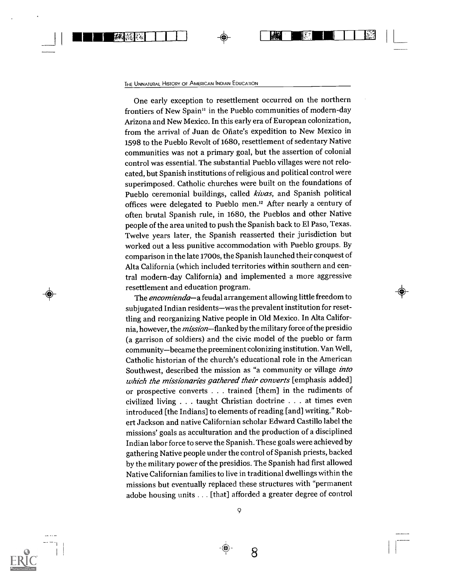H ENGEL

One early exception to resettlement occurred on the northern frontiers of New Spain" in the Pueblo communities of modern-day Arizona and New Mexico. In this early era of European colonization, from the arrival of Juan de Ofiate's expedition to New Mexico in 1598 to the Pueblo Revolt of 1680, resettlement of sedentary Native communities was not a primary goal, but the assertion of colonial control was essential. The substantial Pueblo villages were not relocated, but Spanish institutions of religious and political control were superimposed. Catholic churches were built on the foundations of Pueblo ceremonial buildings, called kivas, and Spanish political offices were delegated to Pueblo men.'2 After nearly a century of often brutal Spanish rule, in 1680, the Pueblos and other Native people of the area united to push the Spanish back to El Paso, Texas. Twelve years later, the Spanish reasserted their jurisdiction but worked out a less punitive accommodation with Pueblo groups. By comparison in the late 1700s, the Spanish launched their conquest of Alta California (which included territories within southern and central modern-day California) and implemented a more aggressive resettlement and education program.

 $\mathbb{Z}$  in  $\mathbb{Z}$  is a set of  $\mathbb{Z}$  in  $\mathbb{Z}$  in  $\mathbb{Z}$  in  $\mathbb{Z}$  in  $\mathbb{Z}$  in  $\mathbb{Z}$  in  $\mathbb{Z}$  in  $\mathbb{Z}$  in  $\mathbb{Z}$  in  $\mathbb{Z}$  in  $\mathbb{Z}$  in  $\mathbb{Z}$  in  $\mathbb{Z}$  in  $\mathbb{Z}$  in  $\mathbb{Z}$  in  $\mathbb{Z}$ 

The *encomienda*—a feudal arrangement allowing little freedom to subjugated Indian residents-was the prevalent institution for resettling and reorganizing Native people in Old Mexico. In Alta California, however, the *mission*-flanked by the military force of the presidio (a garrison of soldiers) and the civic model of the pueblo or farm community-became the preeminent colonizing institution. Van Well, Catholic historian of the church's educational role in the American Southwest, described the mission as "a community or village into which the missionaries gathered their converts [emphasis added] or prospective converts . . .trained [them] in the rudiments of civilized living . . . taught Christian doctrine . . . at times even introduced [the Indians] to elements of reading [and] writing." Robert Jackson and native Californian scholar Edward Castillo label the missions' goals as acculturation and the production of a disciplined Indian labor force to serve the Spanish. These goals were achieved by gathering Native people under the control of Spanish priests, backed by the military power of the presidios. The Spanish had first allowed Native Californian families to live in traditional dwellings within the missions but eventually replaced these structures with "permanent adobe housing units .. . [that] afforded a greater degree of control



9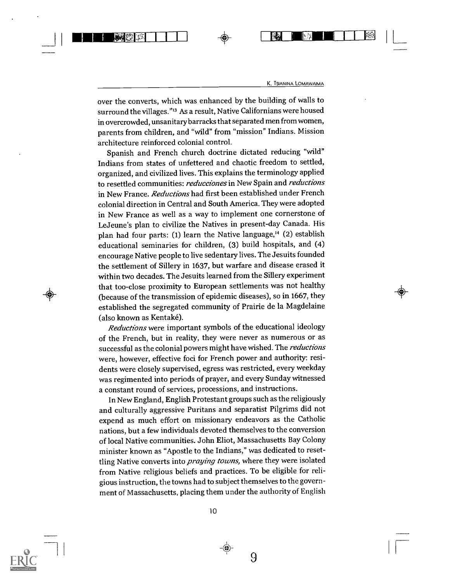图

over the converts, which was enhanced by the building of walls to surround the villages."<sup>13</sup> As a result, Native Californians were housed in overcrowded, unsanitary barracks that separated men from women, parents from children, and "wild" from "mission" Indians. Mission architecture reinforced colonial control.

111111111WE1II\_LL

Spanish and French church doctrine dictated reducing "wild" Indians from states of unfettered and chaotic freedom to settled, organized, and civilized lives. This explains the terminology applied to resettled communities: reducciones in New Spain and reductions in New France. Reductions had first been established under French colonial direction in Central and South America. They were adopted in New France as well as a way to implement one cornerstone of LeJeune's plan to civilize the Natives in present-day Canada. His plan had four parts: (1) learn the Native language,<sup>14</sup> (2) establish educational seminaries for children, (3) build hospitals, and (4) encourage Native people to live sedentary lives. The Jesuits founded the settlement of Sillery in 1637, but warfare and disease erased it within two decades. The Jesuits learned from the Sillery experiment that too-close proximity to European settlements was not healthy (because of the transmission of epidemic diseases), so in 1667, they established the segregated community of Prairie de la Magdelaine (also known as Kentaké).

Reductions were important symbols of the educational ideology of the French, but in reality, they were never as numerous or as successful as the colonial powers might have wished. The reductions were, however, effective foci for French power and authority: residents were closely supervised, egress was restricted, every weekday was regimented into periods of prayer, and every Sunday witnessed a constant round of services, processions, and instructions.

In New England, English Protestant groups such as the religiously and culturally aggressive Puritans and separatist Pilgrims did not expend as much effort on missionary endeavors as the Catholic nations, but a few individuals devoted themselves to the conversion of local Native communities. John Eliot, Massachusetts Bay Colony minister known as "Apostle to the Indians," was dedicated to resettling Native converts into *praying towns*, where they were isolated from Native religious beliefs and practices. To be eligible for religious instruction, the towns had to subject themselves to the government of Massachusetts, placing them under the authority of English

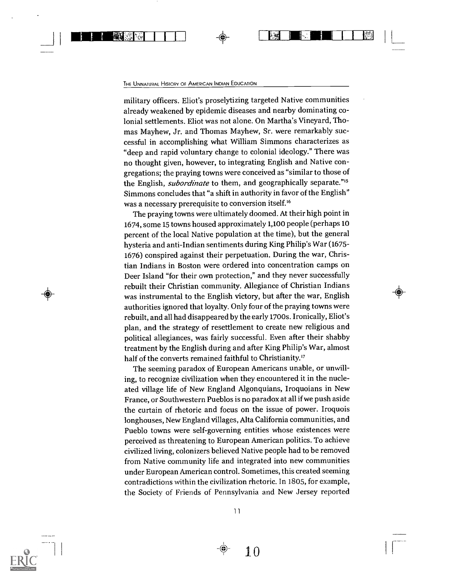ing11111111111111

a ka

military officers. Eliot's proselytizing targeted Native communities already weakened by epidemic diseases and nearby dominating colonial settlements. Eliot was not alone. On Martha's Vineyard, Thomas Mayhew, Jr. and Thomas Mayhew, Sr. were remarkably successful in accomplishing what William Simmons characterizes as "deep and rapid voluntary change to colonial ideology." There was no thought given, however, to integrating English and Native congregations; the praying towns were conceived as "similar to those of the English, *subordinate* to them, and geographically separate."<sup>15</sup> Simmons concludes that "a shift in authority in favor of the English" was a necessary prerequisite to conversion itself.'6

The praying towns were ultimately doomed. At their high point in 1674, some 15 towns housed approximately 1,100 people (perhaps 10 percent of the local Native population at the time), but the general hysteria and anti-Indian sentiments during King Philip's War (1675- 1676) conspired against their perpetuation. During the war, Christian Indians in Boston were ordered into concentration camps on Deer Island "for their own protection," and they never successfully rebuilt their Christian community. Allegiance of Christian Indians was instrumental to the English victory, but after the war, English authorities ignored that loyalty. Only four of the praying towns were rebuilt, and all had disappeared by the early 1700s. Ironically, Eliot's plan, and the strategy of resettlement to create new religious and political allegiances, was fairly successful. Even after their shabby treatment by the English during and after King Philip's War, almost half of the converts remained faithful to Christianity.<sup>17</sup>

The seeming paradox of European Americans unable, or unwilling, to recognize civilization when they encountered it in the nucleated village life of New England Algonquians, Iroquoians in New France, or Southwestern Pueblos is no paradox at all if we push aside the curtain of rhetoric and focus on the issue of power. Iroquois longhouses, New England villages, Alta California communities, and Pueblo towns were self-governing entities whose existences were perceived as threatening to European American politics. To achieve civilized living, colonizers believed Native people had to be removed from Native community life and integrated into new communities under European American control. Sometimes, this created seeming contradictions within the civilization rhetoric. In 1805, for example, the Society of Friends of Pennsylvania and New Jersey reported



11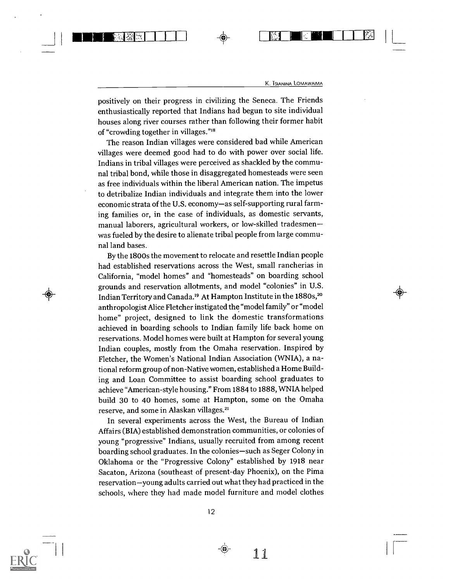NMI ELITTE ELITTE ELITTE ELITTE ELITTE ELITTE ELITTE ELITTE ELITTE ELITTE ELITTE ELITTE ELITTE ELITTE ELITTE E<br>ELITTE ELITTE ELITTE ELITTE ELITTE ELITTE ELITTE ELITTE ELITTE ELITTE ELITTE ELITTE ELITTE ELITTE ELITTE ELIT

positively on their progress in civilizing the Seneca. The Friends enthusiastically reported that Indians had begun to site individual houses along river courses rather than following their former habit of "crowding together in villages."<sup>18</sup>

陰目猿に、

The reason Indian villages were considered bad while American villages were deemed good had to do with power over social life. Indians in tribal villages were perceived as shackled by the communal tribal bond, while those in disaggregated homesteads were seen as free individuals within the liberal American nation. The impetus to detribalize Indian individuals and integrate them into the lower economic strata of the U.S. economy-as self-supporting rural farming families or, in the case of individuals, as domestic servants, manual laborers, agricultural workers, or low-skilled tradesmen was fueled by the desire to alienate tribal people from large communal land bases.

By the 1800s the movement to relocate and resettle Indian people had established reservations across the West, small rancherias in California, "model homes" and "homesteads" on boarding school grounds and reservation allotments, and model "colonies" in U.S. Indian Territory and Canada.<sup>19</sup> At Hampton Institute in the 1880s,<sup>20</sup> anthropologist Alice Fletcher instigated the "model family" or "model home" project, designed to link the domestic transformations achieved in boarding schools to Indian family life back home on reservations. Model homes were built at Hampton for several young Indian couples, mostly from the Omaha reservation. Inspired by Fletcher, the Women's National Indian Association (WNIA), a national reform group of non-Native women, established a Home Building and Loan Committee to assist boarding school graduates to achieve "American-style housing." From 1884 to 1888, WNIA helped build 30 to 40 homes, some at Hampton, some on the Omaha reserve, and some in Alaskan villages.2'

In several experiments across the West, the Bureau of Indian Affairs (BIA) established demonstration communities, or colonies of young "progressive" Indians, usually recruited from among recent boarding school graduates. In the colonies-such as Seger Colony in Oklahoma or the "Progressive Colony" established by 1918 near Sacaton, Arizona (southeast of present-day Phoenix), on the Pima reservation-young adults carried out what they had practiced in the schools, where they had made model furniture and model clothes



ii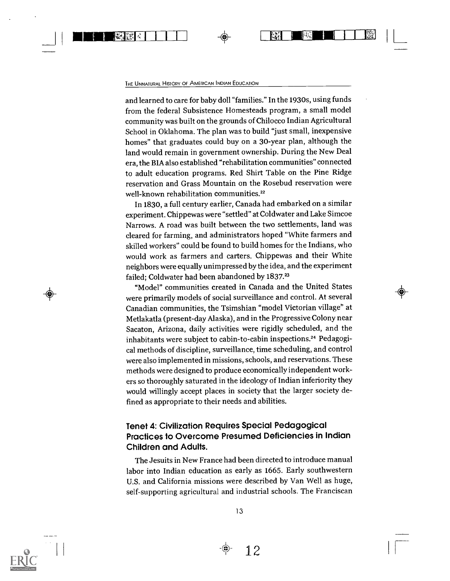#### THE UNNATURAL HISTORY OF AMERICAN INDIAN EDUCATION

and learned to care for baby doll "families." In the 1930s, using funds from the federal Subsistence Homesteads program, a small model community was built on the grounds of Chilocco Indian Agricultural School in Oklahoma. The plan was to build "just small, inexpensive homes" that graduates could buy on a 30-year plan, although the land would remain in government ownership. During the New Deal era, the BIA also established "rehabilitation communities" connected to adult education programs. Red Shirt Table on the Pine Ridge reservation and Grass Mountain on the Rosebud reservation were well-known rehabilitation communities.<sup>22</sup>

In 1830, a full century earlier, Canada had embarked on a similar experiment. Chippewas were "settled" at Coldwater and Lake Simcoe Narrows. A road was built between the two settlements, land was cleared for farming, and administrators hoped "White farmers and skilled workers" could be found to build homes for the Indians, who would work as farmers and carters. Chippewas and their White neighbors were equally unimpressed by the idea, and the experiment failed; Coldwater had been abandoned by 1837.<sup>23</sup>

"Model" communities created in Canada and the United States were primarily models of social surveillance and control. At several Canadian communities, the Tsimshian "model Victorian village" at Metlakatla (present-day Alaska), and in the Progressive Colony near Sacaton, Arizona, daily activities were rigidly scheduled, and the inhabitants were subject to cabin-to-cabin inspections.<sup>24</sup> Pedagogical methods of discipline, surveillance, time scheduling, and control were also implemented in missions, schools, and reservations. These methods were designed to produce economically independent workers so thoroughly saturated in the ideology of Indian inferiority they would willingly accept places in society that the larger society defined as appropriate to their needs and abilities.

#### Tenet 4: Civilization Requires Special Pedagogical Practices to Overcome Presumed Deficiencies in Indian Children and Adults.

The Jesuits in New France had been directed to introduce manual labor into Indian education as early as 1665. Early southwestern U.S. and California missions were described by Van Well as huge, self-supporting agricultural and industrial schools. The Franciscan



 $\bigoplus$ 

12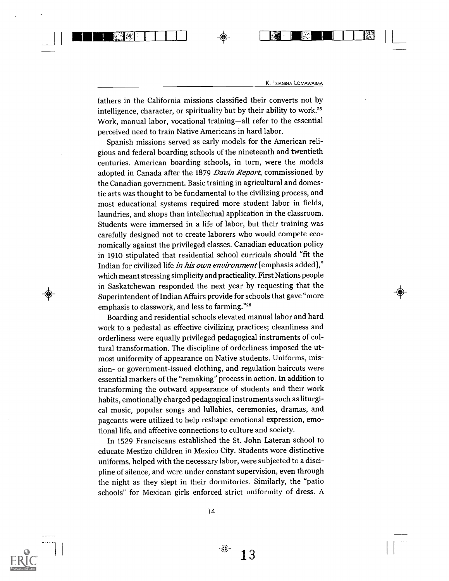a

fathers in the California missions classified their converts not by intelligence, character, or spirituality but by their ability to work.<sup>25</sup> Work, manual labor, vocational training-all refer to the essential perceived need to train Native Americans in hard labor.

amania amin'ny fivondronan-kaominin'i Pas-

Spanish missions served as early models for the American religious and federal boarding schools of the nineteenth and twentieth centuries. American boarding schools, in turn, were the models adopted in Canada after the 1879 Davin Report, commissioned by the Canadian government. Basic training in agricultural and domestic arts was thought to be fundamental to the civilizing process, and most educational systems required more student labor in fields, laundries, and shops than intellectual application in the classroom. Students were immersed in a life of labor, but their training was carefully designed not to create laborers who would compete economically against the privileged classes. Canadian education policy in 1910 stipulated that residential school curricula should "fit the Indian for civilized life in his own environment [emphasis added]," which meant stressing simplicity and practicality. First Nations people in Saskatchewan responded the next year by requesting that the Superintendent of Indian Affairs provide for schools that gave "more emphasis to classwork, and less to farming."26

Boarding and residential schools elevated manual labor and hard work to a pedestal as effective civilizing practices; cleanliness and orderliness were equally privileged pedagogical instruments of cultural transformation. The discipline of orderliness imposed the utmost uniformity of appearance on Native students. Uniforms, mission- or government-issued clothing, and regulation haircuts were essential markers of the "remaking" process in action. In addition to transforming the outward appearance of students and their work habits, emotionally charged pedagogical instruments such as liturgical music, popular songs and lullabies, ceremonies, dramas, and pageants were utilized to help reshape emotional expression, emotional life, and affective connections to culture and society.

In 1529 Franciscans established the St. John Lateran school to educate Mestizo children in Mexico City. Students wore distinctive uniforms, helped with the necessary labor, were subjected to a discipline of silence, and were under constant supervision, even through the night as they slept in their dormitories. Similarly, the "patio schools" for Mexican girls enforced strict uniformity of dress. A



-8)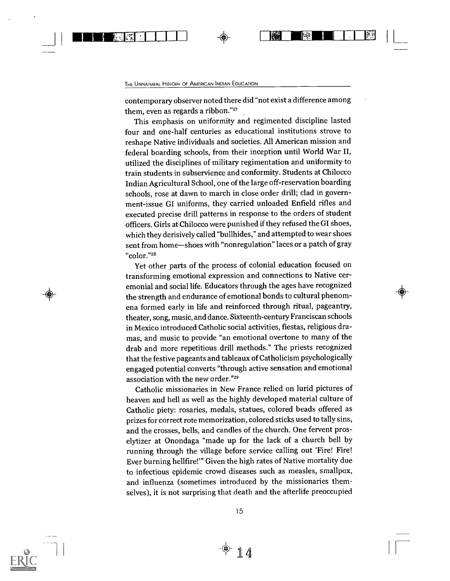$\checkmark$ 

#### THE UNNATURAL HISTORY OF AMERICAN INDIAN EDUCATION

contemporary observer noted there did "not exist a difference among them, even as regards a ribbon."27

This emphasis on uniformity and regimented discipline lasted four and one-half centuries as educational institutions strove to reshape Native individuals and societies. All American mission and federal boarding schools, from their inception until World War II, utilized the disciplines of military regimentation and uniformity to train students in subservience and conformity. Students at Chilocco Indian Agricultural School, one of the large off-reservation boarding schools, rose at dawn to march in close order drill; clad in government-issue GI uniforms, they carried unloaded Enfield rifles and executed precise drill patterns in response to the orders of student officers. Girls at Chilocco were punished if they refused the GI shoes, which they derisively called "bullhides," and attempted to wear shoes sent from home-shoes with "nonregulation" laces or a patch of gray "color."28

Yet other parts of the process of colonial education focused on transforming emotional expression and connections to Native ceremonial and social life. Educators through the ages have recognized the strength and endurance of emotional bonds to cultural phenomena formed early in life and reinforced through ritual, pageantry, theater, song, music, and dance. Sixteenth-century Franciscan schools in Mexico introduced Catholic social activities, fiestas, religious dramas, and music to provide "an emotional overtone to many of the drab and more repetitious drill methods." The priests recognized that the festive pageants and tableaux of Catholicism psychologically engaged potential converts "through active sensation and emotional association with the new order."28

Catholic missionaries in New France relied on lurid pictures of heaven and hell as well as the highly developed material culture of Catholic piety: rosaries, medals, statues, colored beads offered as prizes for correct rote memorization, colored sticks used to tally sins, and the crosses, bells, and candles of the church. One fervent proselytizer at Onondaga "made up for the lack of a church bell by running through the village before service calling out 'Fire! Fire! Ever burning hellfire!" Given the high rates of Native mortality due to infectious epidemic crowd diseases such as measles, smallpox, and influenza (sometimes introduced by the missionaries themselves), it is not surprising that death and the afterlife preoccupied

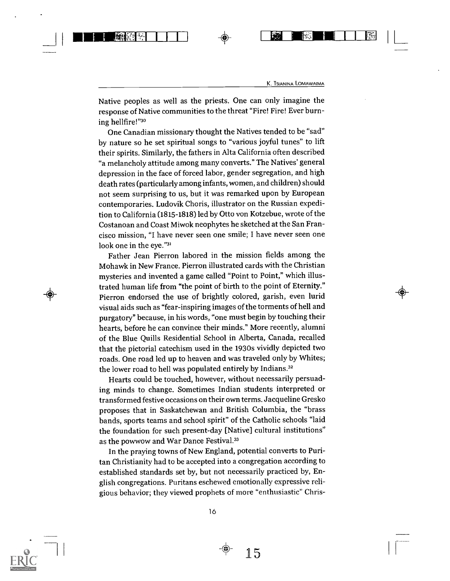111111.11 ICI <sup>1</sup> <sup>1</sup> + <sup>71</sup> 111111ril' L

Native peoples as well as the priests. One can only imagine the response of Native communities to the threat "Fire! Fire! Ever burning hellfire!"3°

One Canadian missionary thought the Natives tended to be "sad" by nature so he set spiritual songs to "various joyful tunes" to lift their spirits. Similarly, the fathers in Alta California often described "a melancholy attitude among many converts." The Natives' general depression in the face of forced labor, gender segregation, and high death rates (particularly among infants, women, and children) should not seem surprising to us, but it was remarked upon by European contemporaries. Ludovik Choris, illustrator on the Russian expedition to California (1815-1818) led by Otto von Kotzebue, wrote of the Costanoan and Coast Miwok neophytes he sketched at the San Francisco mission, "I have never seen one smile; I have never seen one look one in the eye."31

Father Jean Pierron labored in the mission fields among the Mohawk in New France. Pierron illustrated cards with the Christian mysteries and invented a game called "Point to Point," which illustrated human life from "the point of birth to the point of Eternity." Pierron endorsed the use of brightly colored, garish, even lurid visual aids such as "fear-inspiring images of the torments of hell and purgatory" because, in his words, "one must begin by touching their hearts, before he can convince their minds." More recently, alumni of the Blue Quills Residential School in Alberta, Canada, recalled that the pictorial catechism used in the 1930s vividly depicted two roads. One road led up to heaven and was traveled only by Whites; the lower road to hell was populated entirely by Indians.<sup>32</sup>

Hearts could be touched, however, without necessarily persuading minds to change. Sometimes Indian students interpreted or transformed festive occasions on their own terms. Jacqueline Gresko proposes that in Saskatchewan and British Columbia, the "brass bands, sports teams and school spirit" of the Catholic schools "laid the foundation for such present-day [Native] cultural institutions" as the powwow and War Dance Festival.33

In the praying towns of New England, potential converts to Puritan Christianity had to be accepted into a congregation according to established standards set by, but not necessarily practiced by, English congregations. Puritans eschewed emotionally expressive religious behavior; they viewed prophets of more "enthusiastic" Chris-

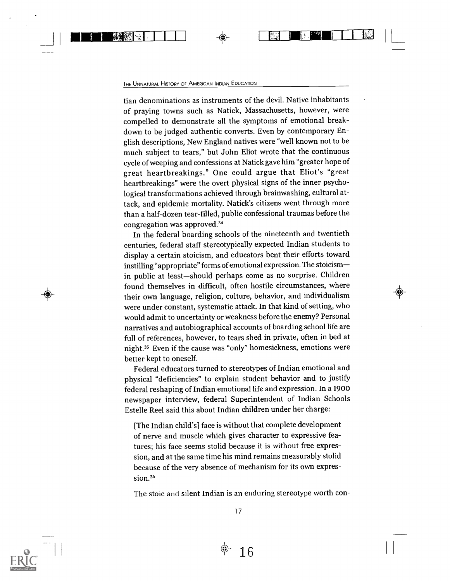■■ 野孫安

tian denominations as instruments of the devil. Native inhabitants of praying towns such as Natick, Massachusetts, however, were compelled to demonstrate all the symptoms of emotional breakdown to be judged authentic converts. Even by contemporary English descriptions, New England natives were "well known not to be much subject to tears," but John Eliot wrote that the continuous cycle of weeping and confessions at Natick gave him "greater hope of great heartbreakings." One could argue that Eliot's "great heartbreakings" were the overt physical signs of the inner psychological transformations achieved through brainwashing, cultural attack, and epidemic mortality. Natick's citizens went through more than a half-dozen tear-filled, public confessional traumas before the congregation was approved.34

1 - 1

In the federal boarding schools of the nineteenth and twentieth centuries, federal staff stereotypically expected Indian students to display a certain stoicism, and educators bent their efforts toward instilling "appropriate" forms of emotional expression. The stoicism in public at least-should perhaps come as no surprise. Children found themselves in difficult, often hostile circumstances, where their own language, religion, culture, behavior, and individualism were under constant, systematic attack. In that kind of setting, who would admit to uncertainty or weakness before the enemy? Personal narratives and autobiographical accounts of boarding school life are full of references, however, to tears shed in private, often in bed at night.35 Even if the cause was "only" homesickness, emotions were better kept to oneself.

 $\left( \Phi \right)$  and  $\left( \Phi \right)$  $\,\,\,\,\,\,\,\,\,\,$ 

Federal educators turned to stereotypes of Indian emotional and physical "deficiencies" to explain student behavior and to justify federal reshaping of Indian emotional life and expression. In a 1900 newspaper interview, federal Superintendent of Indian Schools Estelle Reel said this about Indian children under her charge:

[The Indian child's] face is without that complete development of nerve and muscle which gives character to expressive features; his face seems stolid because it is without free expression, and at the same time his mind remains measurably stolid because of the very absence of mechanism for its own expression.<sup>36</sup>

The stoic and silent Indian is an enduring stereotype worth con-



1 7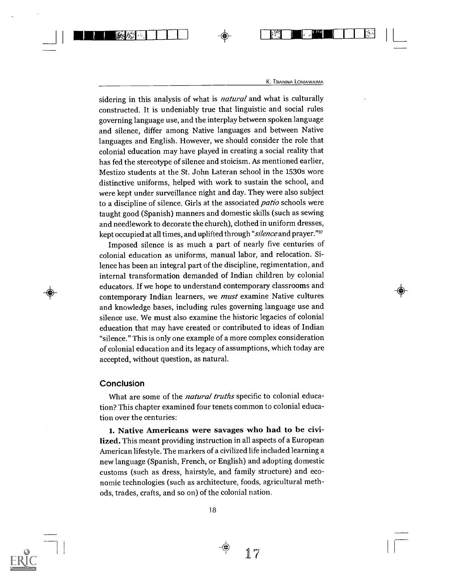sidering in this analysis of what is *natural* and what is culturally constructed. It is undeniably true that linguistic and social rules governing language use, and the interplay between spoken language and silence, differ among Native languages and between Native languages and English. However, we should consider the role that colonial education may have played in creating a social reality that has fed the stereotype of silence and stoicism. As mentioned earlier, Mestizo students at the St. John Lateran school in the 1530s wore distinctive uniforms, helped with work to sustain the school, and were kept under surveillance night and day. They were also subject to a discipline of silence. Girls at the associated *patio* schools were taught good (Spanish) manners and domestic skills (such as sewing and needlework to decorate the church), clothed in uniform dresses, kept occupied at all times, and uplifted through "silence and prayer."37

<sup>I</sup> 11.1110'11-1-1 + <sup>I</sup> Fi II lilt <sup>I</sup> <sup>I</sup> <sup>I</sup>

Imposed silence is as much a part of nearly five centuries of colonial education as uniforms, manual labor, and relocation. Silence has been an integral part of the discipline, regimentation, and internal transformation demanded of Indian children by colonial educators. If we hope to understand contemporary classrooms and contemporary Indian learners, we *must* examine Native cultures and knowledge bases, including rules governing language use and silence use. We must also examine the historic legacies of colonial education that may have created or contributed to ideas of Indian "silence." This is only one example of a more complex consideration of colonial education and its legacy of assumptions, which today are accepted, without question, as natural.

#### Conclusion

What are some of the *natural truths* specific to colonial education? This chapter examined four tenets common to colonial education over the centuries:

1. Native Americans were savages who had to be civilized. This meant providing instruction in all aspects of a European American lifestyle. The markers of a civilized life included learning a new language (Spanish, French, or English) and adopting domestic customs (such as dress, hairstyle, and family structure) and economic technologies (such as architecture, foods, agricultural methods, trades, crafts, and so on) of the colonial nation.

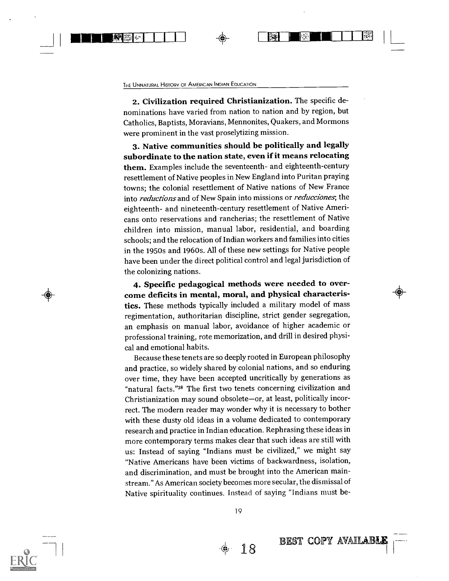2. Civilization required Christianization. The specific denominations have varied from nation to nation and by region, but Catholics, Baptists, Moravians, Mennonites, Quakers, and Mormons were prominent in the vast proselytizing mission.

1111111111111M1 <sup>I</sup> <sup>I</sup> <sup>I</sup> <sup>1</sup> 4 EWE ft BIM

3. Native communities should be politically and legally subordinate to the nation state, even if it means relocating them. Examples include the seventeenth- and eighteenth-century resettlement of Native peoples in New England into Puritan praying towns; the colonial resettlement of Native nations of New France into reductions and of New Spain into missions or reducciones; the eighteenth- and nineteenth-century resettlement of Native Americans onto reservations and rancherias; the resettlement of Native children into mission, manual labor, residential, and boarding schools; and the relocation of Indian workers and families into cities in the 1950s and 1960s. All of these new settings for Native people have been under the direct political control and legal jurisdiction of the colonizing nations.

4. Specific pedagogical methods were needed to overcome deficits in mental, moral, and physical characteristics. These methods typically included a military model of mass regimentation, authoritarian discipline, strict gender segregation, an emphasis on manual labor, avoidance of higher academic or professional training, rote memorization, and drill in desired physical and emotional habits.

Because these tenets are so deeply rooted in European philosophy and practice, so widely shared by colonial nations, and so enduring over time, they have been accepted uncritically by generations as "natural facts."38 The first two tenets concerning civilization and Christianization may sound obsolete-or, at least, politically incorrect. The modern reader may wonder why it is necessary to bother with these dusty old ideas in a volume dedicated to contemporary research and practice in Indian education. Rephrasing these ideas in more contemporary terms makes clear that such ideas are still with us: Instead of saying "Indians must be civilized," we might say "Native Americans have been victims of backwardness, isolation, and discrimination, and must be brought into the American mainstream." As American society becomes more secular, the dismissal of Native spirituality continues. Instead of saying "Indians must be-



 $\bigoplus$ 

19

**BEST COPY AVAILABLEST**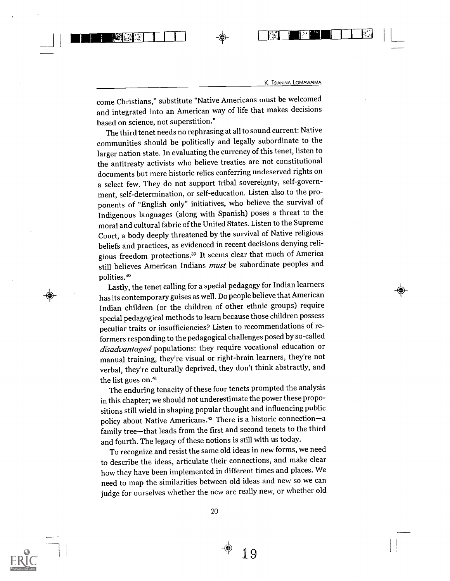come Christians," substitute "Native Americans must be welcomed and integrated into an American way of life that makes decisions based on science, not superstition."

1.11111111P141 <sup>1</sup> 111111-T1-1

The third tenet needs no rephrasing at all to sound current: Native communities should be politically and legally subordinate to the larger nation state. In evaluating the currency of this tenet, listen to the antitreaty activists who believe treaties are not constitutional documents but mere historic relics conferring undeserved rights on a select few. They do not support tribal sovereignty, self-government, self-determination, or self-education. Listen also to the proponents of "English only" initiatives, who believe the survival of Indigenous languages (along with Spanish) poses a threat to the moral and cultural fabric of the United States. Listen to the Supreme Court, a body deeply threatened by the survival of Native religious beliefs and practices, as evidenced in recent decisions denying religious freedom protections.39 It seems clear that much of America still believes American Indians *must* be subordinate peoples and polities.<sup>40</sup>

Lastly, the tenet calling for a special pedagogy for Indian learners has its contemporary guises as well. Do people believe that American Indian children (or the children of other ethnic groups) require special pedagogical methods to learn because those children possess peculiar traits or insufficiencies? Listen to recommendations of reformers responding to the pedagogical challenges posed by so-called disadvantaged populations: they require vocational education or manual training, they're visual or right-brain learners, they're not verbal, they're culturally deprived, they don't think abstractly, and the list goes on.4'

The enduring tenacity of these four tenets prompted the analysis in this chapter; we should not underestimate the power these propositions still wield in shaping popular thought and influencing public policy about Native Americans.<sup>42</sup> There is a historic connection-a family tree-that leads from the first and second tenets to the third and fourth. The legacy of these notions is still with us today.

To recognize and resist the same old ideas in new forms, we need to describe the ideas, articulate their connections, and make clear how they have been implemented in different times and places. We need to map the similarities between old ideas and new so we can judge for ourselves whether the new are really new, or whether old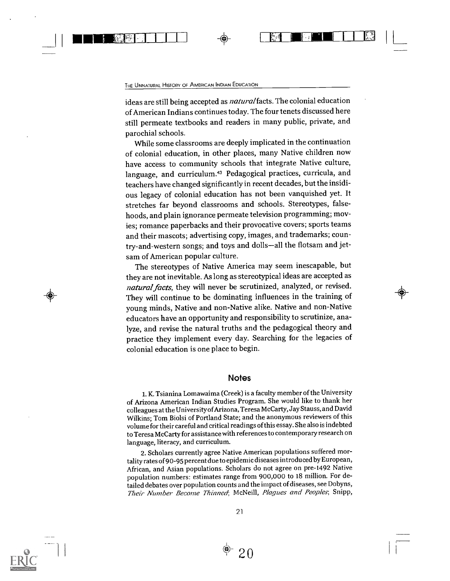#### THE UNNATURAL HISTORY OF AMERICAN INDIAN EDUCATION

 $\begin{pmatrix} 1 & 1 \\ 1 & 1 \end{pmatrix}$ 

ideas are still being accepted as *natural* facts. The colonial education of American Indians continues today. The four tenets discussed here still permeate textbooks and readers in many public, private, and parochial schools.

While some classrooms are deeply implicated in the continuation of colonial education, in other places, many Native children now have access to community schools that integrate Native culture, language, and curriculum.<sup>43</sup> Pedagogical practices, curricula, and teachers have changed significantly in recent decades, but the insidious legacy of colonial education has not been vanquished yet. It stretches far beyond classrooms and schools. Stereotypes, falsehoods, and plain ignorance permeate television programming; movies; romance paperbacks and their provocative covers; sports teams and their mascots; advertising copy, images, and trademarks; country-and-western songs; and toys and dolls-all the flotsam and jetsam of American popular culture.

The stereotypes of Native America may seem inescapable, but they are not inevitable. As long as stereotypical ideas are accepted as natural facts, they will never be scrutinized, analyzed, or revised. They will continue to be dominating influences in the training of young minds, Native and non-Native alike. Native and non-Native educators have an opportunity and responsibility to scrutinize, analyze, and revise the natural truths and the pedagogical theory and practice they implement every day. Searching for the legacies of colonial education is one place to begin.

#### **Notes**

1. K. Tsianina Lomawaima (Creek) is a faculty member of the University of Arizona American Indian Studies Program. She would like to thank her colleagues at the University of Arizona, Teresa McCarty, Jay Stauss, and David Wilkins; Tom Biolsi of Portland State; and the anonymous reviewers of this volume for their careful and critical readings of this essay. She also is indebted to Teresa McCarty for assistance with references to contemporary research on language, literacy, and curriculum.

2. Scholars currently agree Native American populations suffered mortality rates of 90-95 percent due to epidemic diseases introduced by European, African, and Asian populations. Scholars do not agree on pre-1492 Native population numbers: estimates range from 900,000 to 18 million. For detailed debates over population counts and the impact of diseases, see Dobyns, Their Number Become Thinned; McNeill, Plagues and Peoples; Snipp,

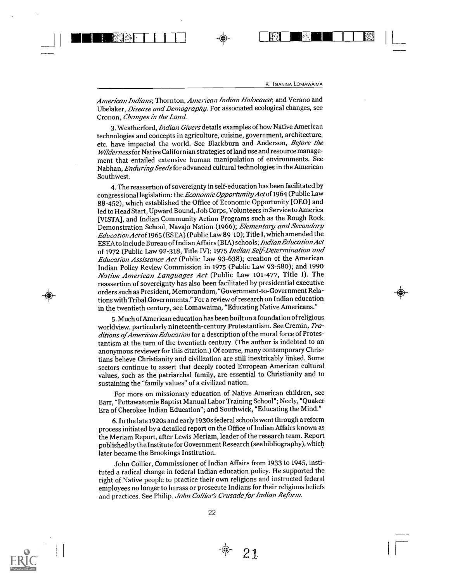BS.

American Indians; Thornton, American Indian Holocaust, and Verano and Ubelaker, Disease and Demography. For associated ecological changes, see Cronon, Changes in the Land.

us1111. A. <sup>I</sup> <sup>I</sup> <sup>I</sup> <sup>1</sup> <sup>I</sup>

3. Weatherford, *Indian Givers* details examples of how Native American technologies and concepts in agriculture, cuisine, government, architecture, etc. have impacted the world. See Blackburn and Anderson, Before the Wilderness for Native Californian strategies ofland use and resource management that entailed extensive human manipulation of environments. See Nabhan, Enduring Seeds for advanced cultural technologies in the American Southwest.

4. The reassertion of sovereignty in self-education has been facilitated by congressional legislation: the Economic Opportunity Actof 1964 (Public Law 88-452), which established the Office of Economic Opportunity [0E0] and led to Head Start, Upward Bound, Job Corps, Volunteers in Service to America [VISTA], and Indian Community Action Programs such as the Rough Rock Demonstration School, Navajo Nation (1966); Elementary and Secondary EducationActof1965 (ESEA) (Public Law 89-10); Title I, which amended the ESEA to include Bureau of Indian Affairs (BIA) schools; IndianEducationAct of 1972 (Public Law 92-318, Title IV); 1975 Indian Self-Determination and Education Assistance Act (Public Law 93-638); creation of the American Indian Policy Review Commission in 1975 (Public Law 93-580); and 1990 Native American Languages Act (Public Law 101-477, Title I). The reassertion of sovereignty has also been facilitated by presidential executive orders such as President, Memorandum, "Government-to-Government Relations with Tribal Governments." For a review of research on Indian education in the twentieth century, see Lomawaima, "Educating Native Americans."

5. Much of American education has been built on a foundation of religious worldview, particularly nineteenth-century Protestantism. See Cremin, Traditions of American Education for a description of the moral force of Protestantism at the turn of the twentieth century. (The author is indebted to an anonymous reviewer for this citation.) Of course, many contemporary Christians believe Christianity and civilization are still inextricably linked. Some sectors continue to assert that deeply rooted European American cultural values, such as the patriarchal family, are essential to Christianity and to sustaining the "family values" of a civilized nation.

For more on missionary education of Native American children, see Barr, "Pottawatomie Baptist Manual Labor Training School"; Neely, "Quaker Era of Cherokee Indian Education"; and Southwick, "Educating the Mind."

6. In the late 1920s and early 1930s federal schools went through a reform process initiated by a detailed report on the Office of Indian Affairs known as the Meriam Report, after Lewis Meriam, leader of the research team. Report published by the Institute for Government Research (see bibliography), which later became the Brookings Institution.

John Collier, Commissioner of Indian Affairs from 1933 to 1945, instituted a radical change in federal Indian education policy. He supported the right of Native people to practice their own religions and instructed federal employees no longer to harass or prosecute Indians for their religious beliefs and practices. See Philip, John Collier's Crusade for Indian Reform.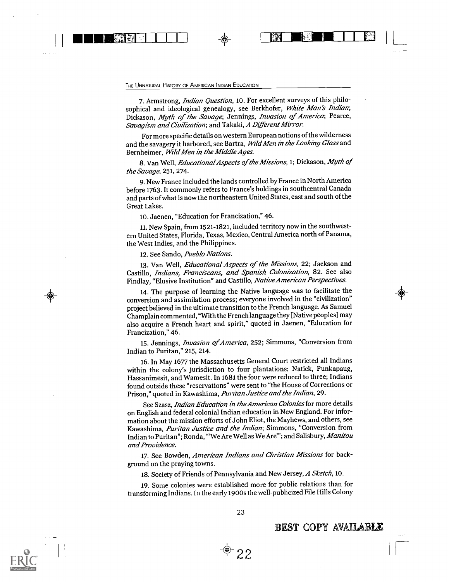# THE UNNATURAL HISTORY OF AMERICAN INDIAN EDUCATION

j RIMMINICAPIN RIMA I II I

7. Armstrong, *Indian Question*, 10. For excellent surveys of this philosophical and ideological genealogy, see Berkhofer, White Man's Indian; Dickason, Myth of the Savage; Jennings, Invasion of America; Pearce, Savagism and Civilization; and Takaki, A Different Mirror.

For more specific details on western European notions of the wilderness and the savagery it harbored, see Bartra, Wild Men in the Looking Glass and Bernheimer, Wild Men in the Middle Ages.

8. Van Well, *Educational Aspects of the Missions*, 1; Dickason, *Myth of* the Savage, 251, 274.

9. New France included the lands controlled by France in North America before 1763. It commonly refers to France's holdings in southcentral Canada and parts of what is now the northeastern United States, east and south of the Great Lakes.

10. Jaenen, "Education for Francization," 46.

11. New Spain, from 1521-1821, included territory now in the southwestern United States, Florida, Texas, Mexico, Central America north of Panama, the West Indies, and the Philippines.

12. See Sando, Pueblo Nations.

13. Van Well, *Educational Aspects of the Missions*, 22; Jackson and Castillo, Indians, Franciscans, and Spanish Colonization, 82. See also Findlay, "Elusive Institution" and Castillo, Native American Perspectives.

14. The purpose of learning the Native language was to facilitate the conversion and assimilation process; everyone involved in the "civilization" project believed in the ultimate transition to the French language. As Samuel Champlain commented, "With the French language they [Native peoples] may also acquire a French heart and spirit," quoted in Jaenen, "Education for Francization," 46.

15. Jennings, Invasion of America, 252; Simmons, "Conversion from Indian to Puritan," 215, 214.

16. In May 1677 the Massachusetts General Court restricted all Indians within the colony's jurisdiction to four plantations: Natick, Punkapaug, Hassanimesit, and Wamesit. In 1681 the four were reduced to three; Indians found outside these "reservations" were sent to "the House of Corrections or Prison," quoted in Kawashima, Puritan Justice and the Indian, 29.

See Szasz, *Indian Education in the American Colonies* for more details on English and federal colonial Indian education in NewEngland. For information about the mission efforts of John Eliot, the Mayhews, and others, see Kawashima, Puritan Justice and the Indian; Simmons, "Conversion from Indian to Puritan"; Ronda, "We Are Well as We Are"; and Salisbury, Manitou and Providence.

17. See Bowden, American Indians and Christian Missions for background on the praying towns.

18. Society of Friends of Pennsylvania and New Jersey, A Sketch, 10.

19. Some colonies were established more for public relations than for transforming Indians. In the early 1900s the well-publicized File Hills Colony



#### BEST COPY AVAILABLE

a.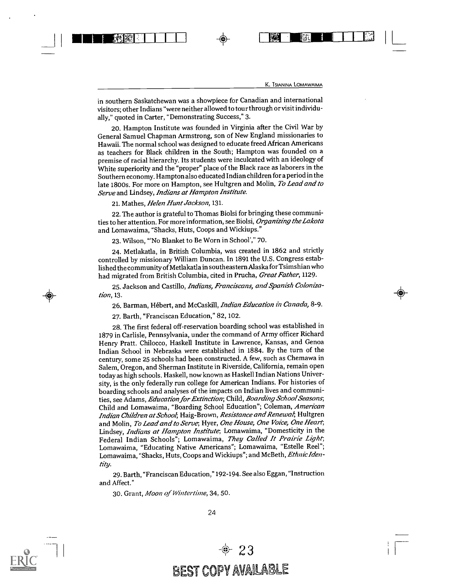URTIMI I I LA TERRA ENTRE EN LA TERRA EN LA TERRA EN LA TERRA EN LA TERRA EN LA TERRA EN LA TERRA EN LA TERRA EN

in southern Saskatchewan was a showpiece for Canadian and international visitors; other Indians "were neither allowed to tour through or visit individually," quoted in Carter, "Demonstrating Success," 3.

20. Hampton Institute was founded in Virginia after the Civil War by General Samuel Chapman Armstrong, son of New England missionaries to Hawaii. The normal school was designed to educate freed African Americans as teachers for Black children in the South; Hampton was founded on a premise of racial hierarchy. Its students were inculcated with an ideology of White superiority and the "proper" place of the Black race as laborers in the Southern economy. Hampton also educated Indian children for a period in the late 1800s. For more on Hampton, see Hultgren and Molin, To Lead and to Serve and Lindsey, Indians at Hampton Institute.

21. Mathes, Helen Hunt Jackson, 131.

22. The author is grateful to Thomas Biolsi for bringing these communities to her attention. For more information, see Biolsi, Organizing the Lakota and Lomawaima, "Shacks, Huts, Coops and Wickiups."

23. Wilson, "'No Blanket to Be Worn in School'," 70.

24. Metlakatla, in British Columbia, was created in 1862 and strictly controlled by missionary William Duncan. In 1891 the U.S. Congress established the community of Metlakatla in southeastern Alaska for Tsimshian who had migrated from British Columbia, cited in Prucha, Great Father, 1129.

25. Jackson and Castillo, Indians, Franciscans, and Spanish Colonization, 13.

26. Barman, Hébert, and McCaskill, Indian Education in Canada, 8-9.

27. Barth, "Franciscan Education," 82, 102.

28. The first federal off-reservation boarding school was established in 1879 in Carlisle, Pennsylvania, under the command of Army officer Richard Henry Pratt. Chilocco, Haskell Institute in Lawrence, Kansas, and Genoa Indian School in Nebraska were established in 1884. By the turn of the century, some 25 schools had been constructed. A few, such as Chemawa in Salem, Oregon, and Sherman Institute in Riverside, California, remain open today as high schools. Haskell, now known as Haskell Indian Nations University, is the only federally run college for American Indians. For histories of boarding schools and analyses of the impacts on Indian lives and communities, see Adams, Education for Extinction; Child, Boarding School Seasons; Child and Lomawaima, "Boarding School Education"; Coleman, American Indian Children at School; Haig-Brown, Resistance and Renewal; Hultgren and Molin, To Lead and to Serve; Hyer, One House, One Voice, One Heart; Lindsey, *Indians at Hampton Institute*; Lomawaima, "Domesticity in the Federal Indian Schools"; Lomawaima, They Called It Prairie Light; Lomawaima, "Educating Native Americans"; Lomawaima, "Estelle Reel"; Lomawaima, "Shacks, Huts, Coops and Wickiups"; and McBeth, Ethnic Identity.

29. Barth, "Franciscan Education," 192-194. See also Eggan, "Instruction and Affect."

30. Grant, Moon of Wintertime, 34, 50.



 $-23$ BEST COPY AVAILABLE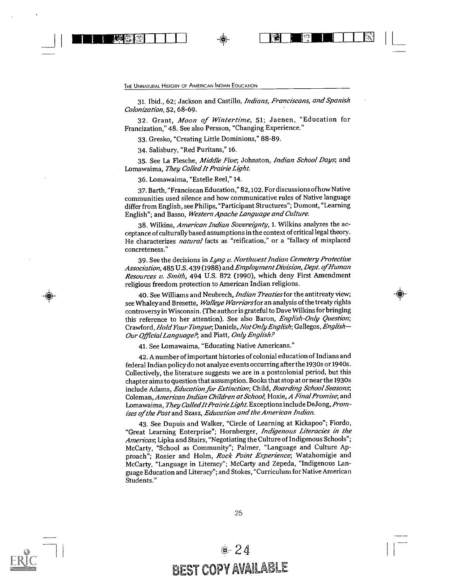THE UNNATURAL HISTORY OF AMERICAN INDIAN EDUCATION

31. Ibid., 62; Jackson and Castillo, Indians, Franciscans, and Spanish Colonization, 52, 68-69.

1 I NEMBRANDING 1990 - 1990 - 1990 - 1990 - 1990 - 1990 - 1990 - 1990 - 1990 - 1<br>1991 - 1992 - 1993 - 1994 - 1995 - 1996 - 1997 - 1998 - 1999 - 1999 - 1999 - 1999 - 1999 - 1999 - 1999 - 1999

32. Grant, Moon of Wintertime, 51; Jaenen, "Education for Francization," 48. See also Persson, "Changing Experience."

33. Gresko, "Creating Little Dominions," 88-89.

34. Salisbury, "Red Puritans," 16.

35. See La Flesche, *Middle Five*, Johnston, *Indian School Days*, and Lomawaima, They Called It Prairie Light.

36. Lomawaima, "Estelle Reel," 14.

37. Barth, "Franciscan Education," 82,102. For discussions of how Native communities used silence and how communicative rules of Native language differ from English, see Philips, "Participant Structures"; Dumont, "Learning English"; and Basso, Western Apache Language and Culture.

38. Wilkins, American Indian Sovereignty, 1. Wilkins analyzes the acceptance of culturally based assumptions in the context of critical legal theory. He characterizes natural facts as "reification," or a "fallacy of misplaced concreteness."

39. See the decisions in Lyng v. Northwest Indian Cemetery Protective Association, 485 U.S. 439 (1988) and Employment Division, Dept. of Human Resources v. Smith, 494 U.S. 872 (1990), which deny First Amendment religious freedom protection to American Indian religions.

40. See Williams and Neubrech, Indian Treaties for the antitreaty view; see Whaley and Bresette, Walleye Warriors for an analysis of the treaty rights controversy in Wisconsin. (The author is grateful to Dave Wilkins for bringing this reference to her attention). See also Baron, *English-Only Question*; Crawford, Hold Your Tongue, Daniels, Not Only English; Gallegos, English-Our Official Language?; and Piatt, Only English?

41. See Lomawaima, "Educating Native Americans."

42. A number of important histories of colonial education of Indians and federal Indian policy do not analyze events occurring after the 1930s or 1940s. Collectively, the literature suggests we are in a postcolonial period, but this chapter aims to question that assumption. Books that stop at or near the 1930s include Adams, Education for Extinction; Child, Boarding School Seasons; Coleman, American Indian Children at School; Hoxie, A Final Promise, and Lomawaima, They Called It Prairie Light. Exceptions include DeJong, Promises of the Past and Szasz, Education and the American Indian.

43. See Dupuis and Walker, "Circle of Learning at Kickapoo"; Fiordo, "Great Learning Enterprise"; Hornberger, Indigenous Literacies in the Americas, Lipka and Stairs, "Negotiating the Culture of Indigenous Schools"; McCarty, "School as Community"; Palmer, "Language and Culture Approach"; Rosier and Holm, Rock Point Experience; Watahomigie and McCarty, "Language in Literacy"; McCarty and Zepeda, "Indigenous Language Education and Literacy"; and Stokes, "Curriculum for Native American Students."



## BEST COPY AVAILABLE  $-24$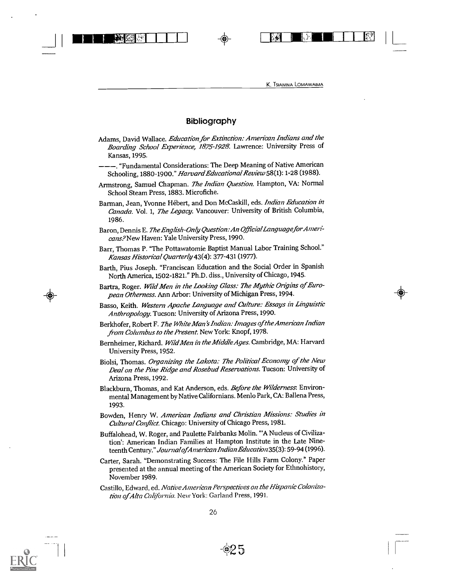ommirtvi,-1 4T-71-111711111 <sup>I</sup> <sup>I</sup>

K. TSIANINA LOMAWAIMA

#### Bibliography

- Adams, David Wallace. Education for Extinction: American Indians and the Boarding School Experience, 1875-1928. Lawrence: University Press of Kansas, 1995.
- ---. "Fundamental Considerations: The Deep Meaning of Native American Schooling, 1880-1900." Harvard Educational Review 58(1): 1-28 (1988).
- Armstrong, Samuel Chapman. The Indian Question. Hampton, VA: Normal School Steam Press, 1883. Microfiche.
- Barman, Jean, Yvonne Hébert, and Don McCaskill, eds. Indian Education in Canada. Vol. 1, The Legacy. Vancouver: University of British Columbia, 1986.
- Baron, Dennis E. The English-Only Question: An Official Language for Americans?New Haven: Yale University Press, 1990.
- Barr, Thomas P. "The Pottawatomie Baptist Manual Labor Training School." Kansas Historical Quarterly 43(4): 377-431 (1977).
- Barth, Pius Joseph. "Franciscan Education and the Social Order in Spanish North America, 1502-1821." Ph.D. diss., University of Chicago, 1945.
- Bartra, Roger. Wild Men in the Looking Glass: The Mythic Origins of European Otherness. Ann Arbor: University of Michigan Press, 1994.
- Basso, Keith. Western Apache Language and Culture: Essays in Linguistic Anthropology. Tucson: University of Arizona Press, 1990.
- Berkhofer, Robert F. The White Man's Indian: Images of the American Indian from Columbus to the Present. New York: Knopf, 1978.
- Bernheimer, Richard. Wild Men in the Middle Ages. Cambridge, MA: Harvard University Press, 1952.
- Biolsi, Thomas. Organizing the Lakota: The Political Economy of the New Deal on the Pine Ridge and Rosebud Reservations. Tucson: University of Arizona Press, 1992.
- Blackburn, Thomas, and Kat Anderson, eds. Before the Wilderness. Environmental Management by Native Californians. Menlo Park, CA: Ballena Press, 1993.
- Bowden, Henry W. American Indians and Christian Missions: Studies in Cultural Conflict. Chicago: University of Chicago Press, 1981.
- Buffalohead, W. Roger, and Paulette Fairbanks Molin. "A Nucleus of Civilization': American Indian Families at Hampton Institute in the Late Nineteenth Century." Journal of American Indian Education 35(3): 59-94 (1996).
- Carter, Sarah. "Demonstrating Success: The File Hills Farm Colony." Paper presented at the annual meeting of the American Society for Ethnohistory, November 1989.
- Castillo, Edward, ed. Native American Perspectives on the Hispanic Colonization of Alta California. New York: Garland Press, 1991.

 $\bigoplus$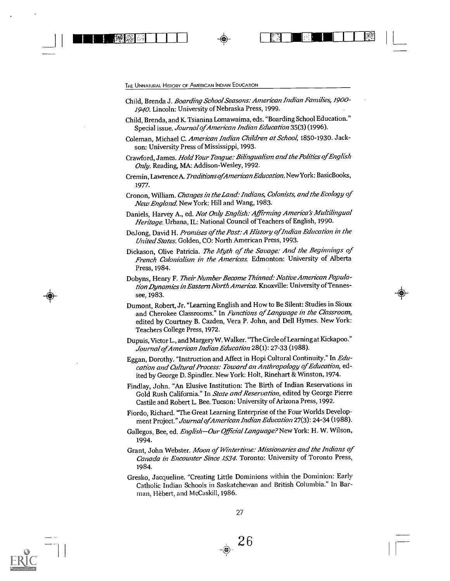Child, Brenda J. Boarding School Seasons: American Indian Families,1900- 1940. Lincoln: University of Nebraska Press, 1999.

- (C) – (C) – (C) – (C) – (C) – (C) – (C) – (C) – (C) – (C) – (C) – (C) – (C) – (C) – (C) – (C) – (C) – (C) – <br>- (C) – (C) – (C) – (C) – (C) – (C) – (C) – (C) – (C) – (C) – (C) – (C) – (C) – (C) – (C) – (C) – (C) – (C) –

- Child, Brenda, and K. Tsianina Lomawaima, eds. "Boarding School Education." Special issue. Journal of American Indian Education 35(3) (1996).
- Coleman, Michael C. American Indian Children at School, 1850-1930. Jackson: University Press of Mississippi, 1993.
- Crawford, James. Hold Your Tongue: Bilingualism and the Politics of English Only. Reading, MA: Addison-Wesley, 1992.
- Cremin, Lawrence A. Traditions of American Education. New York: BasicBooks, 1977.
- Cronon, William. Changes in the Land: Indians, Colonists, and the Ecology of New England. New York: Hill and Wang, 1983.
- Daniels, Harvey A., ed. Not Only English: Affirming America's Multilingual Heritage. Urbana, IL: National Council of Teachers of English, 1990.
- DeJong, David H. Promises of the Past: A History of Indian Education in the United States. Golden, CO: North American Press, 1993.
- Dickason, Olive Patricia. The Myth of the Savage: And the Beginnings of French Colonialism in the Americas. Edmonton: University of Alberta Press, 1984.
- Dobyns, Herny F. Their Number Become Thinned: Native American Population Dynamics in Eastern North America. Knoxville: University of Tennessee, 1983.
- Dumont, Robert, Jr. "Learning English and How to Be Silent: Studies in Sioux and Cherokee Classrooms." In Functions of Language in the Classroom, edited by Courtney B. Cazden, Vera P. John, and Dell Hymes. New York: Teachers College Press, 1972.
- Dupuis, Victor L., and Margery W. Walker. "The Circle of Learning at Kickapoo." Journal of American Indian Education 28(1): 27-33 (1988).
- Eggan, Dorothy. "Instruction and Affect in Hopi Cultural Continuity." In Education and Cultural Process: Toward an Anthropology of Education, edited by George D. Spindler. New York: Holt, Rinehart & Winston, 1974.
- Findlay, John. "An Elusive Institution: The Birth of Indian Reservations in Gold Rush California." In State and Reservation, edited by George Pierre Castile and Robert L. Bee. Tucson: University of Arizona Press, 1992.
- Fiordo, Richard. "The Great Learning Enterprise of the Four Worlds Development Project." Journal of American Indian Education 27(3): 24-34 (1988).
- Gallegos, Bee, ed. English-Our Official Language? New York: H. W. Wilson, 1994.
- Grant, John Webster. Moon of Wintertime: Missionaries and the Indians of Canada in Encounter Since 1534. Toronto: University of Toronto Press, 1984.
- Gresko, Jacqueline. "Creating Little Dorninions within the Dominion: Early Catholic Indian Schools in Saskatchewan and British Columbia." In Barman, flèbert, and McCaskill, 1986.



 $\bullet$  26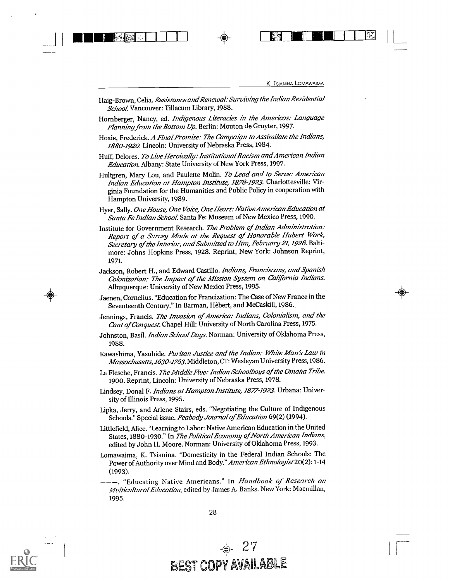$\frac{1}{2}$ 

Haig-Brown, Celia. Resistance and Renewal: Surviving the Indian Residential School. Vancouver: Tillacum Library, 1988.

111111111111VIA- 1 <sup>I</sup> <sup>I</sup> <sup>1</sup> IONE

- Hornberger, Nancy, ed. Indigenous Literacies in the Americas: Language Planning from the Bottom Up. Berlin: Mouton de Gruyter, 1997.
- Hoxie, Frederick. A Final Promise: The Campaign to Assimilate the Indians, 1880-1920. Lincoln: University of Nebraska Press, 1984.
- Huff, Delores. To Live Heroically: Institutional Racism and American Indian Education. Albany: State University of New York Press, 1997.
- Hultgren, Mary Lou, and Paulette Molin. To Lead and to Serve: American Indian Education at Hampton Institute, 1878-1923. Charlottesville: Virginia Foundation for the Humanities and Public Policy in cooperation with Hampton University, 1989.
- Hyer, Sally. One House, One Voice, One Heart: Native American Education at Santa Fe Indian School. Santa Fe: Museum of New Mexico Press, 1990.
- Institute for Government Research. The Problem of Indian Administration: Report of a Suivey Made at the Request of Honorable Hubert Work, Secretary of the Interior, and Submitted to Him, February 21, 1928. Baltimore: Johns Hopkins Press, 1928. Reprint, New York: Johnson Reprint, 1971.
- Jackson, Robert H., and Edward Castillo. Indians, Franciscans, and Spanish Colonization: The Impact of the Mission System on California Indians. Albuquerque: University of New Mexico Press, 1995.
- Jaenen, Cornelius. "Education for Francization: The Case of New France in the Seventeenth Century." In Barman, Flèbert, and McCaskill, 1986.
- Jennings, Francis. The Invasion of America: Indians, Colonialism, and the Cant of Conquest. Chapel Hill: University of North Carolina Press, 1975.
- Johnston, Basil. Indian School Days. Norman: University of Oklahoma Press, 1988.
- Kawashima, Yasuhide. Puritan Justice and the Indian: White Man's Law in Massachusetts, 1630-1763. Middleton, CT: Wesleyan University Press, 1986.
- La Flesche, Francis. The Middle Five: Indian Schoolboys of the Omaha Tribe. 1900. Reprint, Lincoln: University of Nebraska Press, 1978.
- Lindsey, Donal F. Indians at Hampton Institute, 1877-1923. Urbana: University of Illinois Press, 1995.
- Lipka, Jerry, and Arlene Stairs, eds. "Negotiating the Culture of Indigenous Schools." Special issue. Peabody Journal of Education 69(2) (1994).
- Littlefield, Alice. "Learning to Labor: Native American Education in the United States, 1880-1930." In The Political Economy of North American Indians, edited by John H. Moore. Norman: University of Oklahoma Press, 1993.
- Lomawaima, K. Tsianina. "Domesticity in the Federal Indian Schools: The Power of Authority over Mind and Body." American Ethnologist20(2): 1-14 (1993).
- ---. "Educating Native Americans." In Handbook of Research on Multicultural Education, edited by James A. Banks. New York: Macmillan, 1995.

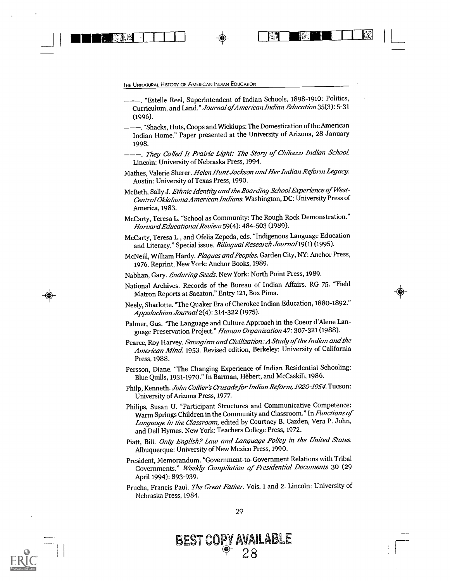THE UNNATURAL HISTORY OF AMERICAN INDIAN EDUCATION

RURii -I <sup>I</sup> <sup>I</sup> <sup>I</sup>

- ---. "Estelle Reel, Superintendent of Indian Schools, 1898-1910: Politics, Curriculum, and Land." Journal ofAmerican Indian Education 35(3): 5-31 (1996).
- ---. "Shacks, Huts, Coops and Wickiups: The Domestication of the American Indian Home." Paper presented at the University of Arizona, 28 January 1998.
- ---. They Called It Prairie Light: The Story of Chilocco Indian School. Lincoln: University of Nebraska Press, 1994.
- Mathes, Valerie Sherer. Helen Hunt Jackson and Her Indian Reform Legacy. Austin: University of Texas Press, 1990.
- McBeth, Sally J. Ethnic Identity and the Boarding School Experience of West-Central Oklahoma American Indians. Washington, DC: University Press of America, 1983.
- McCarty, Teresa L. "School as Community: The Rough Rock Demonstration." Harvard Educational Review 59(4): 484-503 (1989).
- McCarty, Teresa L., and Ofelia Zepeda, eds. "Indigenous Language Education and Literacy." Special issue. Bilingual Research Journal 19(1) (1995).
- McNeill, William Hardy. Plagues and Peoples. Garden City, NY: Anchor Press, 1976. Reprint, New York: Anchor Books, 1989.
- Nabhan, Gary. Enduring Seeds. New York: North Point Press, 1989.
- National Archives. Records of the Bureau of Indian Affairs. RG 75. "Field Matron Reports at Sacaton." Entry 121, Box Pima.
- Neely, Sharlotte. "The Quaker Era of Cherokee Indian Education, 1880-1892." Appalachian Journal2(4): 314-322 (1975).
- Palmer, Gus. "The Language and Culture Approach in the Coeur d'Alene Language Preservation Project." Human Organization 47: 307-321 (1988).
- Pearce, Roy Harvey. Savagism and Civilization: A Study of the Indian and the American Mind. 1953. Revised edition, Berkeley: University of California Press, 1988.
- Persson, Diane. "The Changing Experience of Indian Residential Schooling: Blue Quills, 1931-1970." In Barman, Hebert, and McCaskill, 1986.
- Philp, Kenneth. John Collier's Crusade for Indian Reform, 1920-1954. Tucson: University of Arizona Press, 1977.
- Philips, Susan U. "Participant Structures and Communicative Competence: Warm Springs Children in the Community and Classroom." In Functions of Language in the Classroom, edited by Courtney B. Cazden, Vera P. John, and Dell Hymes. New York: Teachers College Press, 1972.
- Piatt, Bill. Only English? Law and Language Policy in the United States. Albuquerque: University of New Mexico Press, 1990.
- President, Memorandum. "Government-to-Government Relations with Tribal Governments." Weekly Compilation of Presidential Documents 30 (29 April 1994): 893-939.
- Prucha, Francis Paul. The Great Father. Vols. 1 and 2. Lincoln: University of Nebraska Press, 1984.



BEST COPY AVAILABLE

 $-4$ <sup>-4</sup> 28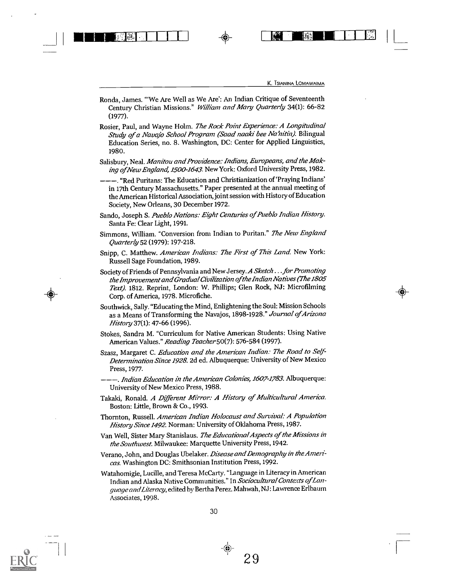a.

0101111vIA. IIIF + <sup>I</sup> INNEN <sup>1</sup>

- Ronda, James. "We Are Well as We Are': An Indian Critique of Seventeenth Century Christian Missions." William and Mary Quarterly 34(1): 66-82 (1977).
- Rosier, Paul, and Wayne Holm. The Rock Point Experience: A Longitudinal Study of a Navajo School Program (Saad naaki bee Na'nitin). Bilingual Education Series, no. 8. Washington, DC: Center for Applied Linguistics, 1980.
- Salisbury, Neal. Manitou and Providence: Indians, Europeans, and the Making of New England, 1500-1643. New York: Oxford University Press, 1982.
- ---. "Red Puritans: The Education and Christianization of 'Praying Indians' in 17th Century Massachusetts." Paper presented at the annual meeting of the American Historical Association, joint session with History of Education Society, New Orleans, 30 December 1972.
- Sando, Joseph S. Pueblo Nations: Eight Centuries of Pueblo Indian History. Santa Fe: Clear Light, 1991.
- Simmons, William. "Conversion from Indian to Puritan." The New England Quarterly 52 (1979): 197-218.
- Snipp, C. Matthew. American Indians: The First of This Land. New York: Russell Sage Foundation, 1989.
- Society of Friends of Pennsylvania and New Jersey. A Sketch . . . for Promoting the Improvement and Gradual Civilization of the Indian Natives (The 1805 Text). 1812. Reprint, London: W. Phillips; Glen Rock, NJ: Microfilming Corp. of America, 1978. Microfiche.
- Southwick, Sally. "Educating the Mind, Enlightening the Soul: Mission Schools as a Means of Transforming the Navajos, 1898-1928." Journal of Arizona History 37(1): 47-66 (1996).
- Stokes, Sandra M. "Curriculum for Native American Students: Using Native American Values." Reading Teacher 50(7): 576-584 (1997).
- Szasz, Margaret C. Education and the American Indian: The Road to Self-Determination Since 1928. 2d ed. Albuquerque: University of New Mexico Press, 1977.
- -, *Indian Education in the American Colonies, 1607-1783*. Albuquerque: University of New Mexico Press, 1988.
- Takaki, Ronald. A Different Mirror: A History of Multicultural America. Boston: Little, Brown & Co., 1993.
- Thornton, Russell. American Indian Holocaust and Survival: A Population History Since 1492. Norman: University of Oklahoma Press, 1987.
- Van Well, Sister Mary Stanislaus. The Educational Aspects of the Missions in the Southwest. Milwaukee: Marquette University Press, 1942.
- Verano, John, and Douglas Ubelaker. Disease and Demography in the Americas. Washington DC: Smithsonian Institution Press, 1992.
- Watahomigie, Lucille, and Teresa McCarty. "Language in Literacy in American Indian and Alaska Native Communities." In Sociocultural Contexts of Language and Literacy, edited by Bertha Perez. Mahwah, NJ: Lawrence Erlbaum Associates, 1998.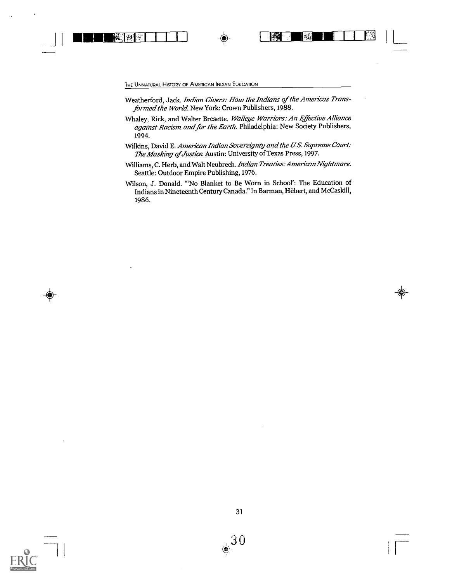Weatherford, Jack. Indian Givers: How the Indians of the Americas Transformed the World. New York: Crown Publishers, 1988.

1111111114:111111 4 41 MI <sup>I</sup> 111111/ L

- Whaley, Rick, and Walter Bresette. Walleye Warriors: An Effective Alliance against Racism and for the Earth. Philadelphia: New Society Publishers, 1994.
- Wilkins, David E. American Indian Sovereignty and the U.S. Supreme Court: The Masking of Justice. Austin: University of Texas Press, 1997.
- Williams, C. Herb, and Walt Neubrech. Indian Treaties: American Nightmare. Seattle: Outdoor Empire Publishing, 1976.
- Wilson, J. Donald. "'No Blanket to Be Worn in School': The Education of Indians in Nineteenth Century Canada." In Barman, flèbert, and McCaskill, 1986.